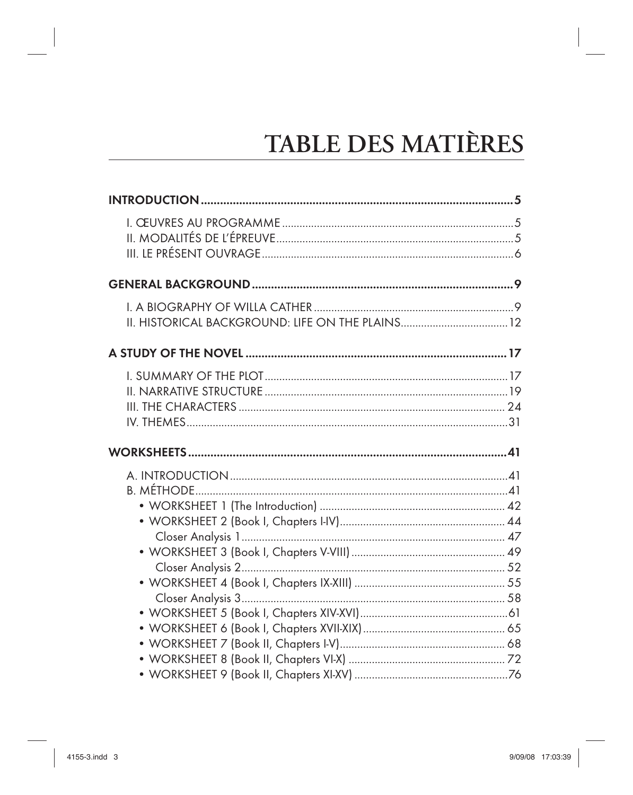## TABLE DES MATIÈRES